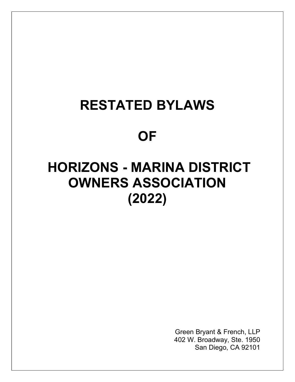# RESTATED BYLAWS

## **OF**

# HORIZONS - MARINA DISTRICT OWNERS ASSOCIATION (2022)

Green Bryant & French, LLP 402 W. Broadway, Ste. 1950 San Diego, CA 92101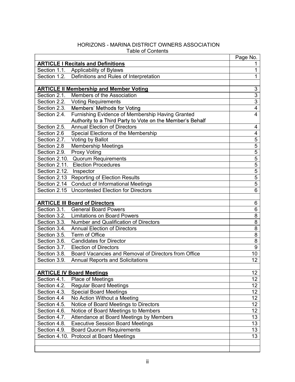#### HORIZONS - MARINA DISTRICT OWNERS ASSOCIATION Table of Contents

|                                                                      | Page No. |
|----------------------------------------------------------------------|----------|
| <b>ARTICLE I Recitals and Definitions</b>                            |          |
| Section 1.1. Applicability of Bylaws                                 |          |
| Definitions and Rules of Interpretation<br>Section 1.2.              |          |
|                                                                      |          |
| <b>ARTICLE II Membership and Member Voting</b>                       | 3        |
| Section 2.1.<br>Members of the Association                           | 3        |
| Section 2.2. Voting Requirements                                     | 3        |
| Section 2.3.<br>Members' Methods for Voting                          | 4        |
| Furnishing Evidence of Membership Having Granted<br>Section 2.4.     | 4        |
| Authority to a Third Party to Vote on the Member's Behalf            |          |
| <b>Annual Election of Directors</b><br>Section 2.5.                  | 4        |
| Section 2.6<br>Special Elections of the Membership                   | 4        |
| Section 2.7. Voting by Ballot                                        | 5        |
| <b>Membership Meetings</b><br>Section 2.8                            | 5        |
| <b>Proxy Voting</b><br>Section 2.9.                                  | 5        |
| Section 2.10. Quorum Requirements                                    | 5        |
| Section 2.11. Election Procedures                                    | 5        |
| Section 2.12. Inspector                                              | 5        |
| Section 2.13 Reporting of Election Results                           | 5        |
| Section 2.14 Conduct of Informational Meetings                       | 5        |
| Section 2.15 Uncontested Election for Directors                      | 6        |
|                                                                      |          |
| <b>ARTICLE III Board of Directors</b>                                | 6        |
| Section 3.1. General Board Powers                                    | 6        |
| Section 3.2. Limitations on Board Powers                             | 8        |
| <b>Number and Qualification of Directors</b><br>Section 3.3.         | 8        |
| Section 3.4.<br><b>Annual Election of Directors</b>                  | 8        |
| Term of Office<br>Section 3.5.                                       | 8        |
| Section 3.6.<br><b>Candidates for Director</b>                       | 8        |
| Section 3.7.<br><b>Election of Directors</b>                         | 9        |
| Board Vacancies and Removal of Directors from Office<br>Section 3.8. | 10       |
| Section 3.9.<br><b>Annual Reports and Solicitations</b>              | 12       |
|                                                                      |          |
| <b>ARTICLE IV Board Meetings</b>                                     | 12       |
| Section 4.1.<br>Place of Meetings                                    | 12       |
| <b>Regular Board Meetings</b><br>Section 4.2.                        | 12       |
| Section 4.3.<br><b>Special Board Meetings</b>                        | 12       |
| Section 4.4<br>No Action Without a Meeting                           | 12       |
| Section 4.5.<br>Notice of Board Meetings to Directors                | 12       |
| Notice of Board Meetings to Members<br>Section 4.6.                  | 12       |
| Attendance at Board Meetings by Members<br>Section 4.7.              | 13       |
|                                                                      |          |
| <b>Executive Session Board Meetings</b><br>Section 4.8.              | 13       |
| <b>Board Quorum Requirements</b><br>Section 4.9.                     | 13       |
| Section 4.10. Protocol at Board Meetings                             | 13       |
|                                                                      |          |
|                                                                      |          |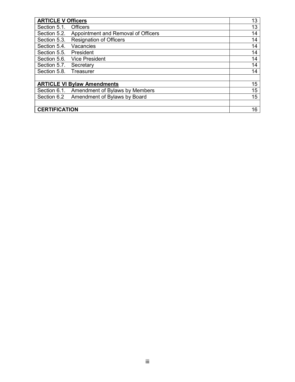| <b>ARTICLE V Officers</b>                           | 13              |
|-----------------------------------------------------|-----------------|
| Section 5.1.<br><b>Officers</b>                     | 13              |
| Appointment and Removal of Officers<br>Section 5.2. | 14              |
| Section 5.3.<br><b>Resignation of Officers</b>      | 14              |
| Section 5.4.<br>Vacancies                           | 14              |
| Section 5.5.<br>President                           | 14              |
| Section 5.6.<br>Vice President                      | 14              |
| Section 5.7. Secretary                              | 14              |
| Section 5.8.<br>Treasurer                           | 14              |
|                                                     |                 |
| <b>ARTICLE VI Bylaw Amendments</b>                  | 15              |
| Section 6.1.<br>Amendment of Bylaws by Members      | 15              |
| Section 6.2<br>Amendment of Bylaws by Board         | $\overline{15}$ |
| <b>CERTIFICATION</b>                                | 16              |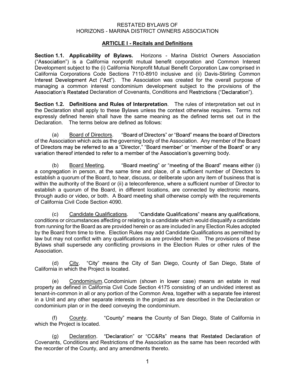### RESTATED BYLAWS OF

#### ARTICLE I - Recitals and Definitions

RESTATED BYLAWS OF<br>HORIZONS - MARINA DISTRICT OWNERS ASSOCIATION<br>**ARTICLE I - Recitals and Definitions**<br>**plicability of Bylaws.** Horizons - Marina District Owners Association<br>a California popprofit mutual benefit corporati Section 1.1. Applicability of Bylaws. Horizons - Marina District Owners Association ("Association") is a California nonprofit mutual benefit corporation and Common Interest Development subject to the (i) California Nonprofit Mutual Benefit Corporation Law comprised in California Corporations Code Sections 7110-8910 inclusive and (ii) Davis-Stirling Common Interest Development Act ("Act"). The Association was created for the overall purpose of managing a common interest condominium development subject to the provisions of the Association's Restated Declaration of Covenants, Conditions and Restrictions ("Declaration").

Section 1.2. Definitions and Rules of Interpretation. The rules of interpretation set out in the Declaration shall apply to these Bylaws unless the context otherwise requires. Terms not expressly defined herein shall have the same meaning as the defined terms set out in the Declaration. The terms below are defined as follows:

(a) Board of Directors. "Board of Directors" or "Board" means the board of Directors of the Association which acts as the governing body of the Association. Any member of the Board of Directors may be referred to as a "Director," "Board member" or "member of the Board" or any variation thereof intended to refer to a member of the Association's governing body.

(b) Board Meeting. "Board meeting" or "meeting of the Board" means either (i) a congregation in person, at the same time and place, of a sufficient number of Directors to establish a quorum of the Board, to hear, discuss, or deliberate upon any item of business that is within the authority of the Board or (ii) a teleconference, where a sufficient number of Director to establish a quorum of the Board, in different locations, are connected by electronic means, through audio or video, or both. A Board meeting shall otherwise comply with the requirements of California Civil Code Section 4090.

(c) Candidate Qualifications. "Candidate Qualifications" means any qualifications, conditions or circumstances affecting or relating to a candidate which would disqualify a candidate from running for the Board as are provided herein or as are included in any Election Rules adopted by the Board from time to time. Election Rules may add Candidate Qualifications as permitted by law but may not conflict with any qualifications as are provided herein. The provisions of these Bylaws shall supersede any conflicting provisions in the Election Rules or other rules of the Association.

(d) City. "City" means the City of San Diego, County of San Diego, State of California in which the Project is located.

 (e) Condominium. Condominium (shown in lower case) means an estate in real property as defined in California Civil Code Section 4175 consisting of an undivided interest as tenant-in-common in all or any portion of the Common Area, together with a separate fee interest in a Unit and any other separate interests in the project as are described in the Declaration or condominium plan or in the deed conveying the condominium.

(f)  $Country.$  "County" means the County of San Diego, State of California in which the Project is located.

(g) Declaration. "Declaration" or "CC&Rs" means that Restated Declaration of Covenants, Conditions and Restrictions of the Association as the same has been recorded with the recorder of the County, and any amendments thereto.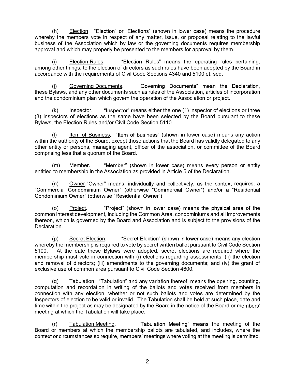(h) **Election**. "Election" or "Elections" (shown in lower case) means the procedure y the members vote in respect of any matter, issue, or proposal relating to the lawful ss of the Association which by law or the governin whereby the members vote in respect of any matter, issue, or proposal relating to the lawful business of the Association which by law or the governing documents requires membership approval and which may properly be presented to the members for approval by them.

(i) Election Rules. "Election Rules" means the operating rules pertaining. among other things, to the election of directors as such rules have been adopted by the Board in accordance with the requirements of Civil Code Sections 4340 and 5100 et. seq.

(j) Governing Documents. these Bylaws, and any other documents such as rules of the Association, articles of incorporation and the condominium plan which govern the operation of the Association or project.

 $(k)$  Inspector. "Inspector" means either the one (1) inspector of elections or three (3) inspectors of elections as the same have been selected by the Board pursuant to these Bylaws, the Election Rules and/or Civil Code Section 5110.

 $(1)$  Item of Business. "Item of business" (shown in lower case) means any action within the authority of the Board, except those actions that the Board has validly delegated to any other entity or persons, managing agent, officer of the association, or committee of the Board comprising less that a quorum of the Board.

(m) Member. "Member" (shown in lower case) means every person or entity entitled to membership in the Association as provided in Article 5 of the Declaration.

 $(n)$  Owner. "Owner" means, individually and collectively, as the context requires, a "Commercial Condominium Owner" (otherwise "Commercial Owner") and/or a "Residential Condominium Owner" (otherwise "Residential Owner").

(o) Project. "Project" (shown in lower case) means the physical area of the common interest development, including the Common Area, condominiums and all improvements thereon, which is governed by the Board and Association and is subject to the provisions of the Declaration.

(p) Secret Election. "Secret Election" (shown in lower case) means any election whereby the membership is required to vote by secret written ballot pursuant to Civil Code Section 5100. At the date these Bylaws were adopted, secret elections are required where the membership must vote in connection with (i) elections regarding assessments; (ii) the election and removal of directors; (iii) amendments to the governing documents; and (iv) the grant of exclusive use of common area pursuant to Civil Code Section 4600.

 $(q)$  Tabulation. "Tabulation" and any variation thereof, means the opening, counting, computation and recordation in writing of the ballots and votes received from members in connection with any election, whether or not such ballots and votes are determined by the Inspectors of election to be valid or invalid. The Tabulation shall be held at such place, date and time within the project as may be designated by the Board in the notice of the Board or members' meeting at which the Tabulation will take place.

(r) Tabulation Meeting. Tabulation Meeting" means the meeting of the Board or members at which the membership ballots are tabulated, and includes, where the context or circumstances so require, members' meetings where voting at the meeting is permitted.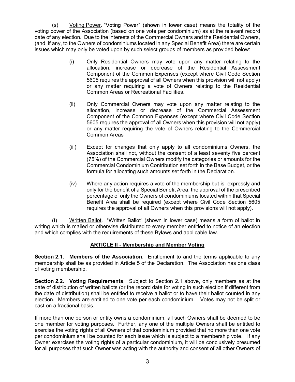(s) Voting Power. "Voting Power" (shown in lower case) means the totality of the (s) Voting Power. "Voting Power" (shown in lower case) means the totality of the voting power of the Association (based on one vote per condominium) as at the relevant record date of any election. Due to the interests of date of any election. Due to the interests of the Commercial Owners and the Residential Owners, (and, if any, to the Owners of condominiums located in any Special Benefit Area) there are certain issues which may only be voted upon by such select groups of members as provided below:

- (i) Only Residential Owners may vote upon any matter relating to the allocation, increase or decrease of the Residential Assessment Component of the Common Expenses (except where Civil Code Section 5605 requires the approval of all Owners when this provision will not apply) or any matter requiring a vote of Owners relating to the Residential Common Areas or Recreational Facilities.
- (ii) Only Commercial Owners may vote upon any matter relating to the allocation, increase or decrease of the Commercial Assessment Component of the Common Expenses (except where Civil Code Section 5605 requires the approval of all Owners when this provision will not apply) or any matter requiring the vote of Owners relating to the Commercial Common Areas
- (iii) Except for changes that only apply to all condominiums Owners, the Association shall not, without the consent of a least seventy five percent (75%) of the Commercial Owners modify the categories or amounts for the Commercial Condominium Contribution set forth in the Base Budget, or the formula for allocating such amounts set forth in the Declaration.
- (iv) Where any action requires a vote of the membership but is expressly and only for the benefit of a Special Benefit Area, the approval of the prescribed percentage of only the Owners of condominiums located within that Special Benefit Area shall be required (except where Civil Code Section 5605 requires the approval of all Owners when this provisions will not apply).

 $(t)$  Written Ballot. "Written Ballot" (shown in lower case) means a form of ballot in writing which is mailed or otherwise distributed to every member entitled to notice of an election and which complies with the requirements of these Bylaws and applicable law.

#### ARTICLE II - Membership and Member Voting

Section 2.1. Members of the Association. Entitlement to and the terms applicable to any membership shall be as provided in Article 5 of the Declaration. The Association has one class of voting membership.

Section 2.2. Voting Requirements. Subject to Section 2.1 above, only members as at the date of distribution of written ballots (or the record date for voting in such election if different from the date of distribution) shall be entitled to receive a ballot or to have their ballot counted in any election. Members are entitled to one vote per each condominium. Votes may not be split or cast on a fractional basis.

If more than one person or entity owns a condominium, all such Owners shall be deemed to be one member for voting purposes. Further, any one of the multiple Owners shall be entitled to exercise the voting rights of all Owners of that condominium provided that no more than one vote per condominium shall be counted for each issue which is subject to a membership vote. If any Owner exercises the voting rights of a particular condominium, it will be conclusively presumed for all purposes that such Owner was acting with the authority and consent of all other Owners of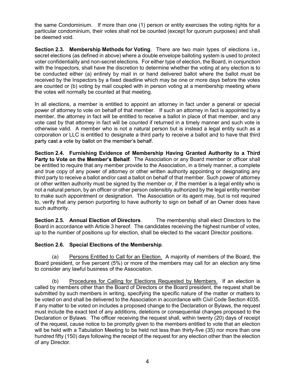the same Condominium. If more than one (1) person or entity exercises the voting rights for a particular condominium, their votes shall not be counted (except for quorum purposes) and shall be deemed void.

Section 2.3. Membership Methods for Voting. There are two main types of elections i.e., secret elections (as defined in above) where a double envelope balloting system is used to protect voter confidentiality and non-secret elections. For either type of election, the Board, in conjunction with the Inspectors, shall have the discretion to determine whether the voting at any election is to be conducted either (a) entirely by mail in or hand delivered ballot where the ballot must be received by the Inspectors by a fixed deadline which may be one or more days before the votes are counted or (b) voting by mail coupled with in person voting at a membership meeting where the votes will normally be counted at that meeting.

In all elections, a member is entitled to appoint an attorney in fact under a general or special power of attorney to vote on behalf of that member. If such an attorney in fact is appointed by a member, the attorney in fact will be entitled to receive a ballot in place of that member, and any vote cast by that attorney in fact will be counted if returned in a timely manner and such vote is otherwise valid. A member who is not a natural person but is instead a legal entity such as a corporation or LLC is entitled to designate a third party to receive a ballot and to have that third party cast a vote by ballot on the member's behalf.

Section 2.4. Furnishing Evidence of Membership Having Granted Authority to a Third Party to Vote on the Member's Behalf. The Association or any Board member or officer shall be entitled to require that any member provide to the Association, in a timely manner, a complete and true copy of any power of attorney or other written authority appointing or designating any third party to receive a ballot and/or cast a ballot on behalf of that member. Such power of attorney or other written authority must be signed by the member or, if the member is a legal entity who is not a natural person, by an officer or other person ostensibly authorized by the legal entity member to make such appointment or designation. The Association or its agent may, but is not required to, verify that any person purporting to have authority to sign on behalf of an Owner does have such authority.

Section 2.5. Annual Election of Directors. The membership shall elect Directors to the Board in accordance with Article 3 hereof. The candidates receiving the highest number of votes, up to the number of positions up for election, shall be elected to the vacant Director positions.

#### Section 2.6. Special Elections of the Membership.

(a) Persons Entitled to Call for an Election. A majority of members of the Board, the Board president, or five percent (5%) or more of the members may call for an election any time to consider any lawful business of the Association.

 (b) Procedures for Calling for Elections Requested by Members. If an election is called by members other than the Board of Directors or the Board president, the request shall be submitted by such members in writing, specifying the specific nature of the matter or matters to be voted on and shall be delivered to the Association in accordance with Civil Code Section 4035. If any matter to be voted on includes a proposed change to the Declaration or Bylaws, the request must include the exact text of any additions, deletions or consequential changes proposed to the Declaration or Bylaws. The officer receiving the request shall, within twenty (20) days of receipt of the request, cause notice to be promptly given to the members entitled to vote that an election will be held with a Tabulation Meeting to be held not less than thirty-five (35) nor more than one hundred fifty (150) days following the receipt of the request for any election other than the election of any Director.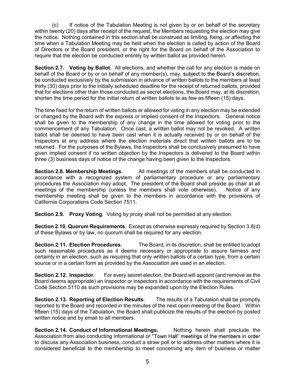(c) If notice of the Tabulation Meeting is not given by or on behalf of the secretary (c) If notice of the Tabulation Meeting is not given by or on behalf of the secretary<br>within twenty (20) days after receipt of the request, the Members requesting the election may give<br>the notice. Nothing contained in this the notice. Nothing contained in this section shall be construed as limiting, fixing, or affecting the time when a Tabulation Meeting may be held when the election is called by action of the Board of Directors or the Board president, or the right for the Board on behalf of the Association to require that the election be conducted entirely by written ballot as provided herein.

Section 2.7. Voting by Ballot. All elections, and whether the call for any election is made on behalf of the Board or by or on behalf of any member(s), may, subject to the Board's discretion, be conducted exclusively by the submission in advance of written ballots to the members at least thirty (30) days prior to the initially scheduled deadline for the receipt of returned ballots, provided that for elections other than those conducted as secret elections, the Board may, at its discretion, shorten the time period for the initial return of written ballots to as few as fifteen (15) days.

The time fixed for the return of written ballots or allowed for voting in any election may be extended or changed by the Board with the express or implied consent of the Inspectors. General notice shall be given to the membership of any change in the time allowed for voting prior to the commencement of any Tabulation. Once cast, a written ballot may not be revoked. A written ballot shall be deemed to have been cast when it is actually received by or on behalf of the Inspectors at any address where the election materials direct that written ballots are to be returned. For the purposes of the Bylaws, the Inspectors shall be conclusively presumed to have given implied consent if no written objection by the Inspectors is delivered to the Board within three (3) business days of notice of the change having been given to the Inspectors.

Section 2.8. Membership Meetings. All meetings of the members shall be conducted in accordance with a recognized system of parliamentary procedure or any parliamentary procedures the Association may adopt. The president of the Board shall preside as chair at all meetings of the membership (unless the members shall vote otherwise). Notice of any membership meeting shall be given to the members in accordance with the provisions of California Corporations Code Section 7511.

Section 2.9. Proxy Voting. Voting by proxy shall not be permitted at any election.

Section 2.10. Quorum Requirements. Except as otherwise expressly required by Section 3.8(d) of these Bylaws or by law, no quorum shall be required for any election.

Section 2.11. Election Procedures. The Board, in its discretion, shall be entitled to adopt such reasonable procedures as it deems necessary or appropriate to assure fairness and certainty in an election, such as requiring that only written ballots of a certain type, from a certain source or in a certain form as provided by the Association are used in an election.

Section 2.12. Inspector. For every secret election, the Board will appoint (and remove as the Board deems appropriate) an Inspector or inspectors in accordance with the requirements of Civil Code Section 5110 as such provisions may be expanded upon by the Election Rules.

Section 2.13. Reporting of Election Results. The results of a Tabulation shall be promptly reported to the Board and recorded in the minutes of the next open meeting of the Board. Within fifteen (15) days of the Tabulation, the Board shall publicize the results of the election by posted written notice and by email to all members.

Section 2.14. Conduct of Informational Meetings. Nothing herein shall preclude the Association from also conducting informational or "Town Hall" meetings of the members in order to discuss any Association business, conduct a straw poll or to address other matters where it is considered beneficial to the membership to meet concerning any item of business or matter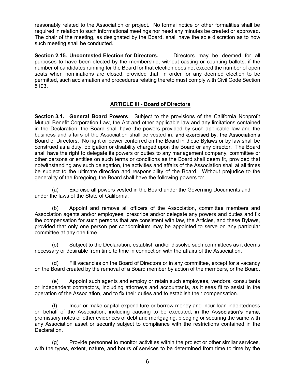reasonably related to the Association or project. No formal notice or other formalities shall be required in relation to such informational meetings nor need any minutes be created or approved. The chair of the meeting, as designated by the Board, shall have the sole discretion as to how such meeting shall be conducted.

Section 2.15. Uncontested Election for Directors. Directors may be deemed for all purposes to have been elected by the membership, without casting or counting ballots, if the number of candidates running for the Board for that election does not exceed the number of open seats when nominations are closed, provided that, in order for any deemed election to be permitted, such acclamation and procedures relating thereto must comply with Civil Code Section 5103.

#### ARTICLE III - Board of Directors

Section 3.1. General Board Powers. Subject to the provisions of the California Nonprofit Mutual Benefit Corporation Law, the Act and other applicable law and any limitations contained in the Declaration, the Board shall have the powers provided by such applicable law and the business and affairs of the Association shall be vested in, and exercised by, the Association's Board of Directors. No right or power conferred on the Board in these Bylaws or by law shall be construed as a duty, obligation or disability charged upon the Board or any director. The Board shall have the right to delegate its powers or duties to any management company, committee or other persons or entities on such terms or conditions as the Board shall deem fit, provided that notwithstanding any such delegation, the activities and affairs of the Association shall at all times be subject to the ultimate direction and responsibility of the Board. Without prejudice to the generality of the foregoing, the Board shall have the following powers to:

(a) Exercise all powers vested in the Board under the Governing Documents and under the laws of the State of California.

 (b) Appoint and remove all officers of the Association, committee members and Association agents and/or employees; prescribe and/or delegate any powers and duties and fix the compensation for such persons that are consistent with law, the Articles, and these Bylaws, provided that only one person per condominium may be appointed to serve on any particular committee at any one time.

 (c) Subject to the Declaration, establish and/or dissolve such committees as it deems necessary or desirable from time to time in connection with the affairs of the Association.

 (d) Fill vacancies on the Board of Directors or in any committee, except for a vacancy on the Board created by the removal of a Board member by action of the members, or the Board.

(e) Appoint such agents and employ or retain such employees, vendors, consultants or independent contractors, including attorneys and accountants, as it sees fit to assist in the operation of the Association, and to fix their duties and to establish their compensation.

 (f) Incur or make capital expenditure or borrow money and incur loan indebtedness on behalf of the Association, including causing to be executed, in the As promissory notes or other evidences of debt and mortgaging, pledging or securing the same with any Association asset or security subject to compliance with the restrictions contained in the Declaration.

 (g) Provide personnel to monitor activities within the project or other similar services, with the types, extent, nature, and hours of services to be determined from time to time by the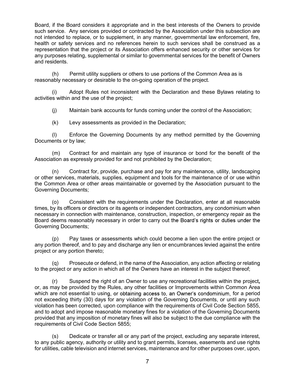Board, if the Board considers it appropriate and in the best interests of the Owners to provide such service. Any services provided or contracted by the Association under this subsection are not intended to replace, or to supplement, in any manner, governmental law enforcement, fire, health or safety services and no references herein to such services shall be construed as a representation that the project or its Association offers enhanced security or other services for any purposes relating, supplemental or similar to governmental services for the benefit of Owners and residents.

(h) Permit utility suppliers or others to use portions of the Common Area as is reasonably necessary or desirable to the on-going operation of the project.

 (i) Adopt Rules not inconsistent with the Declaration and these Bylaws relating to activities within and the use of the project;

(j) Maintain bank accounts for funds coming under the control of the Association;

(k) Levy assessments as provided in the Declaration;

 (l) Enforce the Governing Documents by any method permitted by the Governing Documents or by law;

 (m) Contract for and maintain any type of insurance or bond for the benefit of the Association as expressly provided for and not prohibited by the Declaration;

 (n) Contract for, provide, purchase and pay for any maintenance, utility, landscaping or other services, materials, supplies, equipment and tools for the maintenance of or use within the Common Area or other areas maintainable or governed by the Association pursuant to the Governing Documents;

 (o) Consistent with the requirements under the Declaration, enter at all reasonable times, by its officers or directors or its agents or independent contractors, any condominium when necessary in connection with maintenance, construction, inspection, or emergency repair as the Board deems reasonably necessary in order to carry out the Board's rights or duties under the Governing Documents;

 (p) Pay taxes or assessments which could become a lien upon the entire project or any portion thereof, and to pay and discharge any lien or encumbrances levied against the entire project or any portion thereto;

 (q) Prosecute or defend, in the name of the Association, any action affecting or relating to the project or any action in which all of the Owners have an interest in the subject thereof;

 (r) Suspend the right of an Owner to use any recreational facilities within the project, or, as may be provided by the Rules, any other facilities or Improvements within Common Area which are not essential to using, or obtaining access to, an Owner's condominium, for a period not exceeding thirty (30) days for any violation of the Governing Documents, or until any such violation has been corrected, upon compliance with the requirements of Civil Code Section 5855, and to adopt and impose reasonable monetary fines for a violation of the Governing Documents provided that any imposition of monetary fines will also be subject to the due compliance with the requirements of Civil Code Section 5855;

 (s) Dedicate or transfer all or any part of the project, excluding any separate interest, to any public agency, authority or utility and to grant permits, licenses, easements and use rights for utilities, cable television and internet services, maintenance and for other purposes over, upon,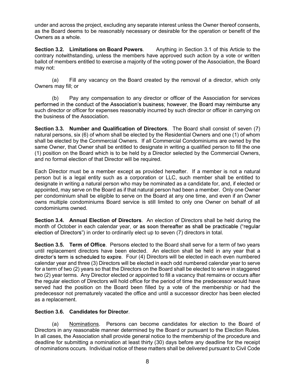under and across the project, excluding any separate interest unless the Owner thereof consents, as the Board deems to be reasonably necessary or desirable for the operation or benefit of the Owners as a whole.

Section 3.2. Limitations on Board Powers. Anything in Section 3.1 of this Article to the contrary notwithstanding, unless the members have approved such action by a vote or written ballot of members entitled to exercise a majority of the voting power of the Association, the Board may not:

 (a) Fill any vacancy on the Board created by the removal of a director, which only Owners may fill; or

 (b) Pay any compensation to any director or officer of the Association for services performed in the conduct of the Association's business; however, the Board may reimburse any such director or officer for expenses reasonably incurred by such director or officer in carrying on the business of the Association.

Section 3.3. Number and Qualification of Directors. The Board shall consist of seven (7) natural persons, six (6) of whom shall be elected by the Residential Owners and one (1) of whom shall be elected by the Commercial Owners. If all Commercial Condominiums are owned by the same Owner, that Owner shall be entitled to designate in writing a qualified person to fill the one (1) position on the Board which is to be held by a Director selected by the Commercial Owners, and no formal election of that Director will be required.

Each Director must be a member except as provided hereafter. If a member is not a natural person but is a legal entity such as a corporation or LLC, such member shall be entitled to designate in writing a natural person who may be nominated as a candidate for, and, if elected or appointed, may serve on the Board as if that natural person had been a member. Only one Owner per condominium shall be eligible to serve on the Board at any one time, and even if an Owner owns multiple condominiums Board service is still limited to only one Owner on behalf of all condominiums owned.

Section 3.4. Annual Election of Directors. An election of Directors shall be held during the month of October in each calendar vear, or as soon thereafter as shall be practicable ("regular election of Directors") in order to ordinarily elect up to seven (7) directors in total.

Section 3.5. Term of Office. Persons elected to the Board shall serve for a term of two years until replacement directors have been elected. An election shall be held in any year that a director's term is scheduled to expire. Four (4) Directors will be elected in each even numbered calendar year and three (3) Directors will be elected in each odd numbered calendar year to serve for a term of two (2) years so that the Directors on the Board shall be elected to serve in staggered two (2) year terms. Any Director elected or appointed to fill a vacancy that remains or occurs after the regular election of Directors will hold office for the period of time the predecessor would have served had the position on the Board been filled by a vote of the membership or had the predecessor not prematurely vacated the office and until a successor director has been elected as a replacement.

#### Section 3.6. Candidates for Director.

 (a) Nominations. Persons can become candidates for election to the Board of Directors in any reasonable manner determined by the Board or pursuant to the Election Rules. In all cases, the Association shall provide general notice to the membership of the procedure and deadline for submitting a nomination at least thirty (30) days before any deadline for the receipt of nominations occurs. Individual notice of these matters shall be delivered pursuant to Civil Code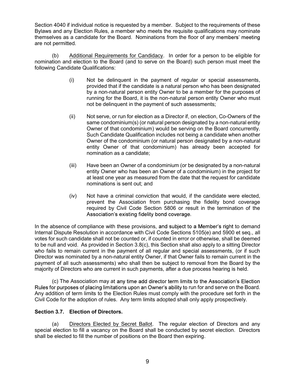Section 4040 if individual notice is requested by a member. Subject to the requirements of these Section 4040 if individual notice is requested by a member. Subject to the requirements of these<br>Bylaws and any Election Rules, a member who meets the requisite qualifications may nominate<br>themselves as a candidate for the themselves as a candidate for the Board. Nominations from the floor of any members' meeting are not permitted.

 (b) Additional Requirements for Candidacy. In order for a person to be eligible for nomination and election to the Board (and to serve on the Board) such person must meet the following Candidate Qualifications:

- (i) Not be delinquent in the payment of regular or special assessments, provided that if the candidate is a natural person who has been designated by a non-natural person entity Owner to be a member for the purposes of running for the Board, it is the non-natural person entity Owner who must not be delinquent in the payment of such assessments;
- (ii) Not serve, or run for election as a Director if, on election, Co-Owners of the same condominium(s) (or natural person designated by a non-natural entity Owner of that condominium) would be serving on the Board concurrently. Such Candidate Qualification includes not being a candidate when another Owner of the condominium (or natural person designated by a non-natural entity Owner of that condominium) has already been accepted for nomination as a candidate;
- (iii) Have been an Owner of a condominium (or be designated by a non-natural entity Owner who has been an Owner of a condominium) in the project for at least one year as measured from the date that the request for candidate nominations is sent out; and
- (iv) Not have a criminal conviction that would, if the candidate were elected, prevent the Association from purchasing the fidelity bond coverage required by Civil Code Section 5806 or result in the termination of the Association's existing fidelity bond coverage.

In the absence of compliance with these provisions, and subject to a Member's right to demand Internal Dispute Resolution in accordance with Civil Code Sections 5105(e) and 5900 et seq., all votes for such candidate shall not be counted or, if counted in error or otherwise, shall be deemed to be null and void. As provided in Section 3.8(c), this Section shall also apply to a sitting Director who fails to remain current in the payment of all regular and special assessments, (or if such Director was nominated by a non-natural entity Owner, if that Owner fails to remain current in the payment of all such assessments) who shall then be subject to removal from the Board by the majority of Directors who are current in such payments, after a due process hearing is held.

(c) The Association may at any time add director term limits to the Association's Election Rules for purposes of placing limitations upon an Owner's ability to run for and serve on the Board. Any addition of term limits to the Election Rules must comply with the procedure set forth in the Civil Code for the adoption of rules. Any term limits adopted shall only apply prospectively.

#### Section 3.7. Election of Directors.

 (a) Directors Elected by Secret Ballot. The regular election of Directors and any special election to fill a vacancy on the Board shall be conducted by secret election. Directors shall be elected to fill the number of positions on the Board then expiring.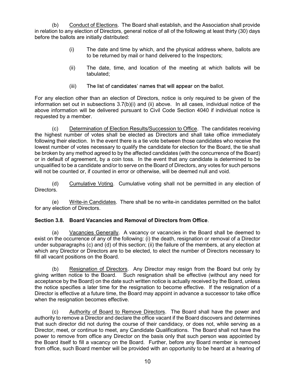(b) Conduct of Elections. The Board shall establish, and the Association shall provide (b) Conduct of Elections. The Board shall establish, and the Association shall provide<br>in relation to any election of Directors, general notice of all of the following at least thirty (30) days<br>before the ballots are initi before the ballots are initially distributed:

- (i) The date and time by which, and the physical address where, ballots are to be returned by mail or hand delivered to the Inspectors;
- (ii) The date, time, and location of the meeting at which ballots will be tabulated;
- (iii) The list of candidates' names that will appear on the ballot.

For any election other than an election of Directors, notice is only required to be given of the information set out in subsections 3.7(b)(i) and (ii) above. In all cases, individual notice of the above information will be delivered pursuant to Civil Code Section 4040 if individual notice is requested by a member.

 (c) Determination of Election Results/Succession to Office. The candidates receiving the highest number of votes shall be elected as Directors and shall take office immediately following their election. In the event there is a tie vote between those candidates who receive the lowest number of votes necessary to qualify the candidate for election for the Board, the tie shall be broken by any method agreed to by the affected candidates (with the concurrence of the Board) or in default of agreement, by a coin toss. In the event that any candidate is determined to be unqualified to be a candidate and/or to serve on the Board of Directors, any votes for such persons will not be counted or, if counted in error or otherwise, will be deemed null and void.

 (d) Cumulative Voting. Cumulative voting shall not be permitted in any election of Directors.

 (e) Write-in Candidates. There shall be no write-in candidates permitted on the ballot for any election of Directors.

#### Section 3.8. Board Vacancies and Removal of Directors from Office.

 (a) Vacancies Generally. A vacancy or vacancies in the Board shall be deemed to exist on the occurrence of any of the following: (i) the death, resignation or removal of a Director under subparagraphs (c) and (d) of this section; (ii) the failure of the members, at any election at which any Director or Directors are to be elected, to elect the number of Directors necessary to fill all vacant positions on the Board.

 (b) Resignation of Directors. Any Director may resign from the Board but only by giving written notice to the Board. Such resignation shall be effective (without any need for acceptance by the Board) on the date such written notice is actually received by the Board, unless the notice specifies a later time for the resignation to become effective. If the resignation of a Director is effective at a future time, the Board may appoint in advance a successor to take office when the resignation becomes effective.

 (c) Authority of Board to Remove Directors. The Board shall have the power and authority to remove a Director and declare the office vacant if the Board discovers and determines that such director did not during the course of their candidacy, or does not, while serving as a Director, meet, or continue to meet, any Candidate Qualifications. The Board shall not have the power to remove from office any Director on the basis only that such person was appointed by the Board itself to fill a vacancy on the Board. Further, before any Board member is removed from office, such Board member will be provided with an opportunity to be heard at a hearing of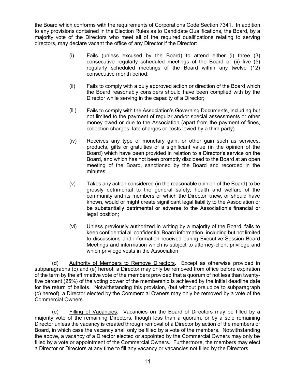the Board which conforms with the requirements of Corporations Code Section 7341. In addition the Board which conforms with the requirements of Corporations Code Section 7341. In addition<br>to any provisions contained in the Election Rules as to Candidate Qualifications, the Board, by a<br>majority vote of the Directors majority vote of the Directors who meet all of the required qualifications relating to serving directors, may declare vacant the office of any Director if the Director:

- (i) Fails (unless excused by the Board) to attend either (i) three (3) consecutive regularly scheduled meetings of the Board or (ii) five (5) regularly scheduled meetings of the Board within any twelve (12) consecutive month period;
- (ii) Fails to comply with a duly approved action or direction of the Board which the Board reasonably considers should have been complied with by the Director while serving in the capacity of a Director;
- (iii) Fails to comply with the Association's Governing Documents, including but not limited to the payment of regular and/or special assessments or other money owed or due to the Association (apart from the payment of fines, collection charges, late charges or costs levied by a third party).
- (iv) Receives any type of monetary gain, or other gain such as services, products, gifts or gratuities of a significant value (in the opinion of the Board) which have been provided in relation to a Director's service on the Board, and which has not been promptly disclosed to the Board at an open meeting of the Board, sanctioned by the Board and recorded in the minutes;
- (v) Takes any action considered (in the reasonable opinion of the Board) to be grossly detrimental to the general safety, health and welfare of the community and its members or which the Director knew, or should have known, would or might create significant legal liability to the Association or be substantially detrimental or adverse to the Association's financial or legal position;
- (vi) Unless previously authorized in writing by a majority of the Board, fails to keep confidential all confidential Board information, including but not limited to discussions and information received during Executive Session Board Meetings and information which is subject to attorney-client privilege and which privilege vests in the Association.

 (d) Authority of Members to Remove Directors. Except as otherwise provided in subparagraphs (c) and (e) hereof, a Director may only be removed from office before expiration of the term by the affirmative vote of the members provided that a quorum of not less than twentyfive percent (25%) of the voting power of the membership is achieved by the initial deadline date for the return of ballots. Notwithstanding this provision, (but without prejudice to subparagraph (c) hereof), a Director elected by the Commercial Owners may only be removed by a vote of the Commercial Owners.

 (e) Filling of Vacancies. Vacancies on the Board of Directors may be filled by a majority vote of the remaining Directors, though less than a quorum, or by a sole remaining Director unless the vacancy is created through removal of a Director by action of the members or Board, in which case the vacancy shall only be filled by a vote of the members. Notwithstanding the above, a vacancy of a Director elected or appointed by the Commercial Owners may only be filled by a vote or appointment of the Commercial Owners. Furthermore, the members may elect a Director or Directors at any time to fill any vacancy or vacancies not filled by the Directors.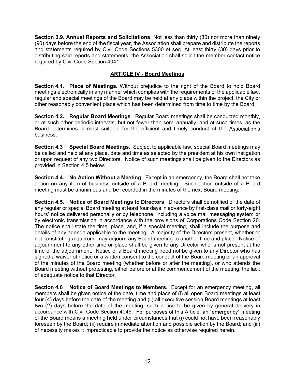Section 3.9. Annual Reports and Solicitations. Not less than thirty (30) nor more than ninety (90) days before the end of the fiscal year, the Association shall prepare and distribute the reports and statements required by Civil Code Sections 5300 et seq. At least thirty (30) days prior to distributing said reports and statements, the Association shall solicit the member contact notice required by Civil Code Section 4041.

#### ARTICLE IV - Board Meetings

Section 4.1. Place of Meetings. Without prejudice to the right of the Board to hold Board meetings electronically in any manner which complies with the requirements of the applicable law, regular and special meetings of the Board may be held at any place within the project, the City or other reasonably convenient place which has been determined from time to time by the Board.

Section 4.2. Regular Board Meetings. Regular Board meetings shall be conducted monthly, or at such other periodic intervals, but not fewer than semi-annually, and at such times, as the Board determines is most suitable for the efficient and timely conduct of the Association's business.

Section 4.3 Special Board Meetings. Subject to applicable law, special Board meetings may be called and held at any place, date and time as selected by the president at his own instigation or upon request of any two Directors. Notice of such meetings shall be given to the Directors as provided in Section 4.5 below.

Section 4.4. No Action Without a Meeting. Except in an emergency, the Board shall not take action on any item of business outside of a Board meeting. Such action outside of a Board meeting must be unanimous and be recorded in the minutes of the next Board meeting.

Section 4.5. Notice of Board Meetings to Directors. Directors shall be notified of the date of any regular or special Board meeting at least four days in advance by first-class mail or forty-eight hours' notice delivered personally or by telephone, including a voice mail messaging system or by electronic transmission in accordance with the provisions of Corporations Code Section 20. The notice shall state the time, place, and, if a special meeting, shall include the purpose and details of any agenda applicable to the meeting. A majority of the Directors present, whether or not constituting a quorum, may adjourn any Board meeting to another time and place. Notice of adjournment to any other time or place shall be given to any Director who is not present at the time of the adjournment. Notice of a Board meeting need not be given to any Director who has signed a waiver of notice or a written consent to the conduct of the Board meeting or an approval of the minutes of the Board meeting (whether before or after the meeting), or who attends the Board meeting without protesting, either before or at the commencement of the meeting, the lack of adequate notice to that Director.

Section 4.6 Notice of Board Meetings to Members. Except for an emergency meeting, all members shall be given notice of the date, time and place of (i) all open Board meetings at least four (4) days before the date of the meeting and (ii) all executive session Board meetings at least two (2) days before the date of the meeting, such notice to be given by general delivery in accordance with Civil Code Section 4045. For purposes of this Article, an "emergency" meeting of the Board means a meeting held under circumstances that (i) could not have been reasonably foreseen by the Board; (ii) require immediate attention and possible action by the Board; and (iii) of necessity makes it impracticable to provide the notice as otherwise required herein.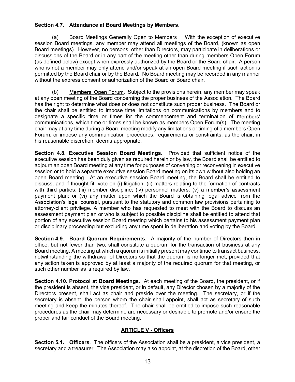#### Section 4.7. Attendance at Board Meetings by Members.

 (a) Board Meetings Generally Open to Members With the exception of executive session Board meetings, any member may attend all meetings of the Board, (known as open Board meetings). However, no persons, other than Directors, may participate in deliberations or discussions of the Board or in any part of the meeting other than during members Open Forum (as defined below) except when expressly authorized by the Board or the Board chair. A person who is not a member may only attend and/or speak at an open Board meeting if such action is permitted by the Board chair or by the Board. No Board meeting may be recorded in any manner without the express consent or authorization of the Board or Board chair.

(b) Members' Open Forum. Subject to the provisions herein, any member may speak at any open meeting of the Board concerning the proper business of the Association. The Board has the right to determine what does or does not constitute such proper business. The Board or the chair shall be entitled to impose time limitations on communications by members and to designate a specific time or times for the commencement and termination of members' communications, which time or times shall be known as members Open Forum(s). The meeting chair may at any time during a Board meeting modify any limitations or timing of a members Open Forum, or impose any communication procedures, requirements or constraints, as the chair, in his reasonable discretion, deems appropriate.

Section 4.8. Executive Session Board Meetings. Provided that sufficient notice of the executive session has been duly given as required herein or by law, the Board shall be entitled to adjourn an open Board meeting at any time for purposes of convening or reconvening in executive session or to hold a separate executive session Board meeting on its own without also holding an open Board meeting. At an executive session Board meeting, the Board shall be entitled to discuss, and if thought fit, vote on (i) litigation; (ii) matters relating to the formation of contracts with third parties; (iii) member discipline; (iv) personnel matters; (v) a member's assessment payment plan; or (vi) any matter upon which the Board is obtaining legal advice from the Association's legal counsel, pursuant to the statutory and common law provisions pertaining to attorney-client privilege. A member who has requested to meet with the Board to discuss an assessment payment plan or who is subject to possible discipline shall be entitled to attend that portion of any executive session Board meeting which pertains to his assessment payment plan or disciplinary proceeding but excluding any time spent in deliberation and voting by the Board.

Section 4.9. Board Quorum Requirements. A majority of the number of Directors then in office, but not fewer than two, shall constitute a quorum for the transaction of business at any Board meeting. A meeting at which a quorum is initially present may continue to transact business, notwithstanding the withdrawal of Directors so that the quorum is no longer met, provided that any action taken is approved by at least a majority of the required quorum for that meeting, or such other number as is required by law.

Section 4.10. Protocol at Board Meetings. At each meeting of the Board, the president, or if the president is absent, the vice president, or in default, any Director chosen by a majority of the Directors present, shall act as chair and preside over the meeting. The secretary, or if the secretary is absent, the person whom the chair shall appoint, shall act as secretary of such meeting and keep the minutes thereof. The chair shall be entitled to impose such reasonable procedures as the chair may determine are necessary or desirable to promote and/or ensure the proper and fair conduct of the Board meeting.

#### ARTICLE V - Officers

Section 5.1. Officers. The officers of the Association shall be a president, a vice president, a secretary and a treasurer. The Association may also appoint, at the discretion of the Board, other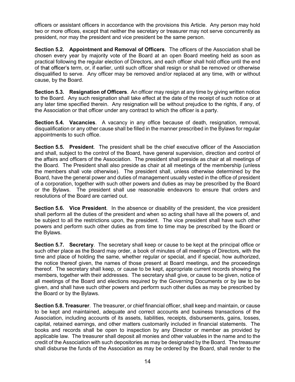officers or assistant officers in accordance with the provisions this Article. Any person may hold officers or assistant officers in accordance with the provisions this Article. Any person may hold<br>two or more offices, except that neither the secretary or treasurer may not serve concurrently as<br>president, nor may the pr president, nor may the president and vice president be the same person.

Section 5.2. Appointment and Removal of Officers. The officers of the Association shall be chosen every year by majority vote of the Board at an open Board meeting held as soon as practical following the regular election of Directors, and each officer shall hold office until the end of that officer's term, or, if earlier, until such officer shall resign or shall be removed or otherwise disqualified to serve. Any officer may be removed and/or replaced at any time, with or without cause, by the Board.

Section 5.3. Resignation of Officers. An officer may resign at any time by giving written notice to the Board. Any such resignation shall take effect at the date of the receipt of such notice or at any later time specified therein. Any resignation will be without prejudice to the rights, if any, of the Association or that officer under any contract to which the officer is a party.

Section 5.4. Vacancies. A vacancy in any office because of death, resignation, removal, disqualification or any other cause shall be filled in the manner prescribed in the Bylaws for regular appointments to such office.

Section 5.5. President. The president shall be the chief executive officer of the Association and shall, subject to the control of the Board, have general supervision, direction and control of the affairs and officers of the Association. The president shall preside as chair at all meetings of the Board. The President shall also preside as chair at all meetings of the membership (unless the members shall vote otherwise). The president shall, unless otherwise determined by the Board, have the general power and duties of management usually vested in the office of president of a corporation, together with such other powers and duties as may be prescribed by the Board or the Bylaws. The president shall use reasonable endeavors to ensure that orders and resolutions of the Board are carried out.

Section 5.6. Vice President. In the absence or disability of the president, the vice president shall perform all the duties of the president and when so acting shall have all the powers of, and be subject to all the restrictions upon, the president. The vice president shall have such other powers and perform such other duties as from time to time may be prescribed by the Board or the Bylaws.

Section 5.7. Secretary. The secretary shall keep or cause to be kept at the principal office or such other place as the Board may order, a book of minutes of all meetings of Directors, with the time and place of holding the same, whether regular or special, and if special, how authorized, the notice thereof given, the names of those present at Board meetings, and the proceedings thereof. The secretary shall keep, or cause to be kept, appropriate current records showing the members, together with their addresses. The secretary shall give, or cause to be given, notice of all meetings of the Board and elections required by the Governing Documents or by law to be given, and shall have such other powers and perform such other duties as may be prescribed by the Board or by the Bylaws.

Section 5.8. Treasurer. The treasurer, or chief financial officer, shall keep and maintain, or cause to be kept and maintained, adequate and correct accounts and business transactions of the Association, including accounts of its assets, liabilities, receipts, disbursements, gains, losses, capital, retained earnings, and other matters customarily included in financial statements. The books and records shall be open to inspection by any Director or member as provided by applicable law. The treasurer shall deposit all monies and other valuables in the name and to the credit of the Association with such depositories as may be designated by the Board. The treasurer shall disburse the funds of the Association as may be ordered by the Board, shall render to the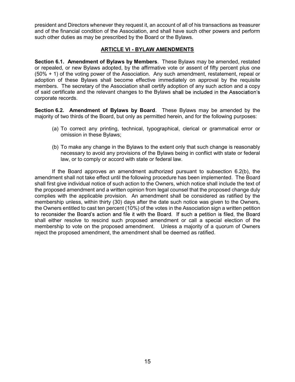president and Directors whenever they request it, an account of all of his transactions as treasurer president and Directors whenever they request it, an account of all of his transactions as treasurer<br>and of the financial condition of the Association, and shall have such other powers and perform<br>such other duties as may such other duties as may be prescribed by the Board or the Bylaws.

#### ARTICLE VI - BYLAW AMENDMENTS

Section 6.1. Amendment of Bylaws by Members. These Bylaws may be amended, restated or repealed, or new Bylaws adopted, by the affirmative vote or assent of fifty percent plus one (50% + 1) of the voting power of the Association. Any such amendment, restatement, repeal or adoption of these Bylaws shall become effective immediately on approval by the requisite members. The secretary of the Association shall certify adoption of any such action and a copy of said certificate and the relevant changes to the Bylaws corporate records.

Section 6.2. Amendment of Bylaws by Board. These Bylaws may be amended by the majority of two thirds of the Board, but only as permitted herein, and for the following purposes:

- (a) To correct any printing, technical, typographical, clerical or grammatical error or omission in these Bylaws;
- (b) To make any change in the Bylaws to the extent only that such change is reasonably necessary to avoid any provisions of the Bylaws being in conflict with state or federal law, or to comply or accord with state or federal law.

 If the Board approves an amendment authorized pursuant to subsection 6.2(b), the amendment shall not take effect until the following procedure has been implemented. The Board shall first give individual notice of such action to the Owners, which notice shall include the text of the proposed amendment and a written opinion from legal counsel that the proposed change duly complies with the applicable provision. An amendment shall be considered as ratified by the membership unless, within thirty (30) days after the date such notice was given to the Owners, the Owners entitled to cast ten percent (10%) of the votes in the Association sign a written petition to reconsider the Board's action and file it with the Board. If such a petition is filed, the Board shall either resolve to rescind such proposed amendment or call a special election of the membership to vote on the proposed amendment. Unless a majority of a quorum of Owners reject the proposed amendment, the amendment shall be deemed as ratified.